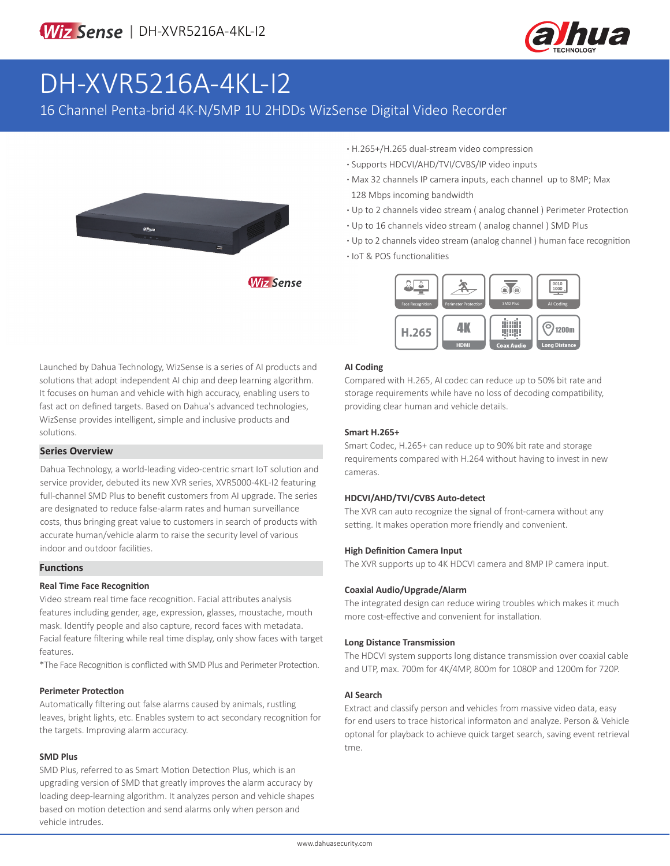

# DH-XVR5216A-4KL-I2

16 Channel Penta-brid 4K-N/5MP 1U 2HDDs WizSense Digital Video Recorder



**·** H.265+/H.265 dual-stream video compression **·** Supports HDCVI/AHD/TVI/CVBS/IP video inputs

- **·** Max 32 channels IP camera inputs, each channel up to 8MP; Max 128 Mbps incoming bandwidth
- **·** Up to 2 channels video stream ( analog channel ) Perimeter Protection
- **·** Up to 16 channels video stream ( analog channel ) SMD Plus
- **·** Up to 2 channels video stream (analog channel ) human face recognition
- **·** IoT & POS functionalities



Launched by Dahua Technology, WizSense is a series of AI products and solutions that adopt independent AI chip and deep learning algorithm. It focuses on human and vehicle with high accuracy, enabling users to fast act on defined targets. Based on Dahua's advanced technologies, WizSense provides intelligent, simple and inclusive products and solutions.

### **Series Overview**

Dahua Technology, a world-leading video-centric smart IoT solution and service provider, debuted its new XVR series, XVR5000-4KL-I2 featuring full-channel SMD Plus to benefit customers from AI upgrade. The series are designated to reduce false-alarm rates and human surveillance costs, thus bringing great value to customers in search of products with accurate human/vehicle alarm to raise the security level of various indoor and outdoor facilities.

#### **Functions**

#### **Real Time Face Recognition**

Video stream real time face recognition. Facial attributes analysis features including gender, age, expression, glasses, moustache, mouth mask. Identify people and also capture, record faces with metadata. Facial feature filtering while real time display, only show faces with target features.

\*The Face Recognition is conflicted with SMD Plus and Perimeter Protection.

#### **Perimeter Protection**

Automatically filtering out false alarms caused by animals, rustling leaves, bright lights, etc. Enables system to act secondary recognition for the targets. Improving alarm accuracy.

#### **SMD Plus**

SMD Plus, referred to as Smart Motion Detection Plus, which is an upgrading version of SMD that greatly improves the alarm accuracy by loading deep-learning algorithm. It analyzes person and vehicle shapes based on motion detection and send alarms only when person and vehicle intrudes.

#### **AI Coding**

Compared with H.265, AI codec can reduce up to 50% bit rate and storage requirements while have no loss of decoding compatibility, providing clear human and vehicle details.

#### **Smart H.265+**

Smart Codec, H.265+ can reduce up to 90% bit rate and storage requirements compared with H.264 without having to invest in new cameras.

#### **HDCVI/AHD/TVI/CVBS Auto-detect**

The XVR can auto recognize the signal of front-camera without any setting. It makes operation more friendly and convenient.

#### **High Definition Camera Input**

The XVR supports up to 4K HDCVI camera and 8MP IP camera input.

#### **Coaxial Audio/Upgrade/Alarm**

The integrated design can reduce wiring troubles which makes it much more cost-effective and convenient for installation.

#### **Long Distance Transmission**

The HDCVI system supports long distance transmission over coaxial cable and UTP, max. 700m for 4K/4MP, 800m for 1080P and 1200m for 720P.

#### **AI Search**

Extract and classify person and vehicles from massive video data, easy for end users to trace historical informaton and analyze. Person & Vehicle optonal for playback to achieve quick target search, saving event retrieval tme.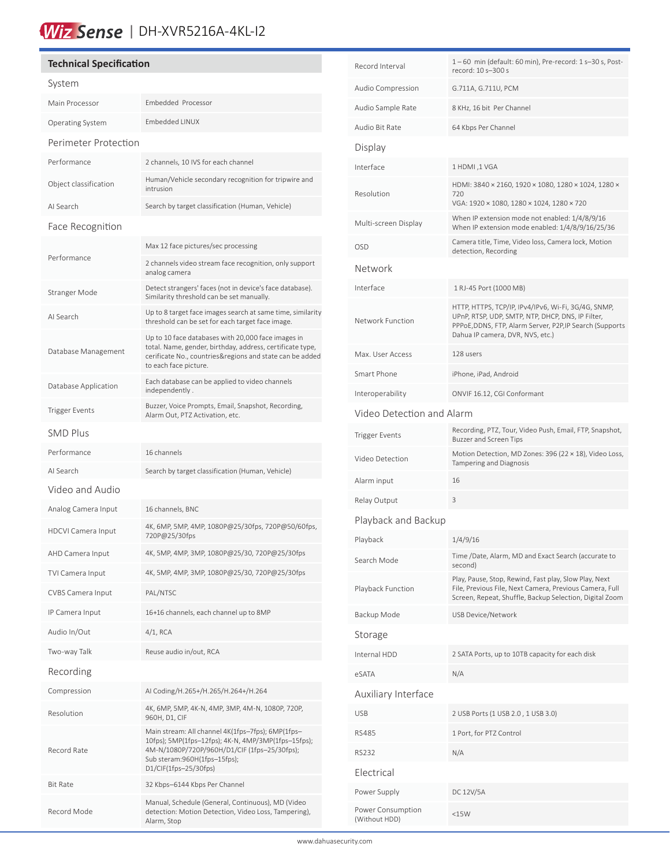# Wiz Sense | DH-XVR5216A-4KL-I2

# **Technical Specification** System Main Processor Embedded Processor Operating System Embedded LINUX Perimeter Protection Performance 2 channels, 10 IVS for each channel Object classification Human/Vehicle secondary recognition for tripwire and intrusion AI Search Search by target classification (Human, Vehicle) Face Recognition Performance Max 12 face pictures/sec processing 2 channels video stream face recognition, only support analog camera Stranger Mode Detect strangers' faces (not in device's face database). Similarity threshold can be set manually. AI Search Up to 8 target face images search at same time, similarity threshold can be set for each target face image. Database Management Up to 10 face databases with 20,000 face images in total. Name, gender, birthday, address, certificate type, cerificate No., countries&regions and state can be added to each face picture. Database Application Each database can be applied to video channels independently . Trigger Events<br>Alarm Out, BTZ Astivation ate Alarm Out, PTZ Activation, etc. SMD Plus Performance 16 channels AI Search Search by target classification (Human, Vehicle) Video and Audio Analog Camera Input 16 channels, BNC HDCVI Camera Input 4K, 6MP, 5MP, 4MP, 1080P@25/30fps, 720P@50/60fps, 720P@25/30fps AHD Camera Input 4K, 5MP, 4MP, 3MP, 1080P@25/30, 720P@25/30fps TVI Camera Input 4K, 5MP, 4MP, 3MP, 1080P@25/30, 720P@25/30fps CVBS Camera Input PAL/NTSC IP Camera Input 16+16 channels, each channel up to 8MP Audio In/Out 4/1, RCA Two-way Talk Reuse audio in/out, RCA Recording Compression AI Coding/H.265+/H.265/H.264+/H.264 Resolution 4K, 6MP, 5MP, 4K-N, 4MP, 3MP, 4M-N, 1080P, 720P, 960H, D1, CIF Record Rate Main stream: All channel 4K(1fps–7fps); 6MP(1fps– 10fps); 5MP(1fps–12fps); 4K-N, 4MP/3MP(1fps–15fps); 4M-N/1080P/720P/960H/D1/CIF (1fps–25/30fps); Sub steram:960H(1fps–15fps); D1/CIF(1fps–25/30fps) Bit Rate 32 Kbps–6144 Kbps Per Channel Record Mode Manual, Schedule (General, Continuous), MD (Video detection: Motion Detection, Video Loss, Tampering), Alarm, Stop

í

| Record Interval                    | 1-60 min (default: 60 min), Pre-record: 1 s-30 s, Post-<br>record: 10 s-300 s                                                                                                                            |  |  |  |
|------------------------------------|----------------------------------------------------------------------------------------------------------------------------------------------------------------------------------------------------------|--|--|--|
| Audio Compression                  | G.711A, G.711U, PCM                                                                                                                                                                                      |  |  |  |
| Audio Sample Rate                  | 8 KHz, 16 bit Per Channel                                                                                                                                                                                |  |  |  |
| Audio Bit Rate                     | 64 Kbps Per Channel                                                                                                                                                                                      |  |  |  |
| Display                            |                                                                                                                                                                                                          |  |  |  |
| Interface                          | 1 HDMI, 1 VGA                                                                                                                                                                                            |  |  |  |
| Resolution                         | HDMI: 3840 × 2160, 1920 × 1080, 1280 × 1024, 1280 ×<br>720<br>VGA: 1920 × 1080, 1280 × 1024, 1280 × 720                                                                                                  |  |  |  |
| Multi-screen Display               | When IP extension mode not enabled: 1/4/8/9/16<br>When IP extension mode enabled: 1/4/8/9/16/25/36                                                                                                       |  |  |  |
| <b>OSD</b>                         | Camera title, Time, Video loss, Camera lock, Motion<br>detection, Recording                                                                                                                              |  |  |  |
| Network                            |                                                                                                                                                                                                          |  |  |  |
| Interface                          | 1 RJ-45 Port (1000 MB)                                                                                                                                                                                   |  |  |  |
| Network Function                   | HTTP, HTTPS, TCP/IP, IPv4/IPv6, Wi-Fi, 3G/4G, SNMP,<br>UPnP, RTSP, UDP, SMTP, NTP, DHCP, DNS, IP Filter,<br>PPPoE, DDNS, FTP, Alarm Server, P2P, IP Search (Supports<br>Dahua IP camera, DVR, NVS, etc.) |  |  |  |
| Max. User Access                   | 128 users                                                                                                                                                                                                |  |  |  |
| Smart Phone                        | iPhone, iPad, Android                                                                                                                                                                                    |  |  |  |
| Interoperability                   | ONVIF 16.12, CGI Conformant                                                                                                                                                                              |  |  |  |
| Video Detection and Alarm          |                                                                                                                                                                                                          |  |  |  |
| <b>Trigger Events</b>              | Recording, PTZ, Tour, Video Push, Email, FTP, Snapshot,<br><b>Buzzer and Screen Tips</b>                                                                                                                 |  |  |  |
| Video Detection                    | Motion Detection, MD Zones: 396 (22 × 18), Video Loss,<br>Tampering and Diagnosis                                                                                                                        |  |  |  |
| Alarm input                        | 16                                                                                                                                                                                                       |  |  |  |
| Relay Output                       | 3                                                                                                                                                                                                        |  |  |  |
| Playback and Backup                |                                                                                                                                                                                                          |  |  |  |
| Playback                           | 1/4/9/16                                                                                                                                                                                                 |  |  |  |
| Search Mode                        | Time /Date, Alarm, MD and Exact Search (accurate to<br>second)                                                                                                                                           |  |  |  |
| Playback Function                  | Play, Pause, Stop, Rewind, Fast play, Slow Play, Next<br>File, Previous File, Next Camera, Previous Camera, Full<br>Screen, Repeat, Shuffle, Backup Selection, Digital Zoom                              |  |  |  |
| Backup Mode                        | USB Device/Network                                                                                                                                                                                       |  |  |  |
| Storage                            |                                                                                                                                                                                                          |  |  |  |
| Internal HDD                       | 2 SATA Ports, up to 10TB capacity for each disk                                                                                                                                                          |  |  |  |
| eSATA                              | N/A                                                                                                                                                                                                      |  |  |  |
| Auxiliary Interface                |                                                                                                                                                                                                          |  |  |  |
| <b>USB</b>                         | 2 USB Ports (1 USB 2.0, 1 USB 3.0)                                                                                                                                                                       |  |  |  |
| <b>RS485</b>                       | 1 Port, for PTZ Control                                                                                                                                                                                  |  |  |  |
| <b>RS232</b>                       | N/A                                                                                                                                                                                                      |  |  |  |
| Electrical                         |                                                                                                                                                                                                          |  |  |  |
| Power Supply                       | DC 12V/5A                                                                                                                                                                                                |  |  |  |
| Power Consumption<br>(Without HDD) | <15W                                                                                                                                                                                                     |  |  |  |